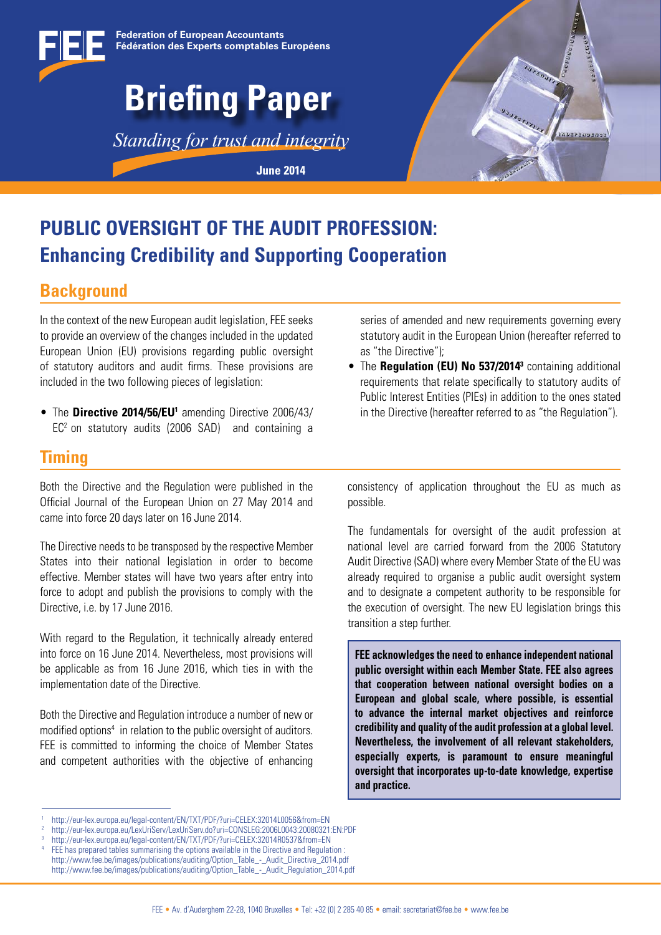



## **PUBLIC OVERSIGHT OF THE AUDIT PROFESSION: Enhancing Credibility and Supporting Cooperation**

## **Background**

In the context of the new European audit legislation, FEE seeks to provide an overview of the changes included in the updated European Union (EU) provisions regarding public oversight of statutory auditors and audit firms. These provisions are included in the two following pieces of legislation:

• The Directive 2014/56/EU<sup>1</sup> amending Directive 2006/43/  $EC<sup>2</sup>$  on statutory audits (2006 SAD) and containing a

### **Timing**

Both the Directive and the Regulation were published in the Official Journal of the European Union on 27 May 2014 and came into force 20 days later on 16 June 2014.

The Directive needs to be transposed by the respective Member States into their national legislation in order to become effective. Member states will have two years after entry into force to adopt and publish the provisions to comply with the Directive, i.e. by 17 June 2016.

With regard to the Regulation, it technically already entered into force on 16 June 2014. Nevertheless, most provisions will be applicable as from 16 June 2016, which ties in with the implementation date of the Directive.

Both the Directive and Regulation introduce a number of new or modified options<sup>4</sup> in relation to the public oversight of auditors. FEE is committed to informing the choice of Member States and competent authorities with the objective of enhancing

series of amended and new requirements governing every statutory audit in the European Union (hereafter referred to as "the Directive");

• The Regulation (EU) No 537/2014<sup>3</sup> containing additional requirements that relate specifically to statutory audits of Public Interest Entities (PIEs) in addition to the ones stated in the Directive (hereafter referred to as "the Regulation").

consistency of application throughout the EU as much as possible.

The fundamentals for oversight of the audit profession at national level are carried forward from the 2006 Statutory Audit Directive (SAD) where every Member State of the EU was already required to organise a public audit oversight system and to designate a competent authority to be responsible for the execution of oversight. The new EU legislation brings this transition a step further.

**FEE acknowledges the need to enhance independent national public oversight within each Member State. FEE also agrees that cooperation between national oversight bodies on a European and global scale, where possible, is essential to advance the internal market objectives and reinforce credibility and quality of the audit profession at a global level. Nevertheless, the involvement of all relevant stakeholders, especially experts, is paramount to ensure meaningful oversight that incorporates up-to-date knowledge, expertise and practice.**

<sup>1</sup> http://eur-lex.europa.eu/legal-content/EN/TXT/PDF/?uri=CELEX:32014L0056&from=EN

<sup>2</sup> http://eur-lex.europa.eu/LexUriServ/LexUriServ.do?uri=CONSLEG:2006L0043:20080321:EN:PDF

<sup>3</sup> http://eur-lex.europa.eu/legal-content/EN/TXT/PDF/?uri=CELEX:32014R0537&from=EN

FEE has prepared tables summarising the options available in the Directive and Regulation : http://www.fee.be/images/publications/auditing/Option\_Table\_-\_Audit\_Directive\_2014.pdf

http://www.fee.be/images/publications/auditing/Option\_Table\_-\_Audit\_Regulation\_2014.pdf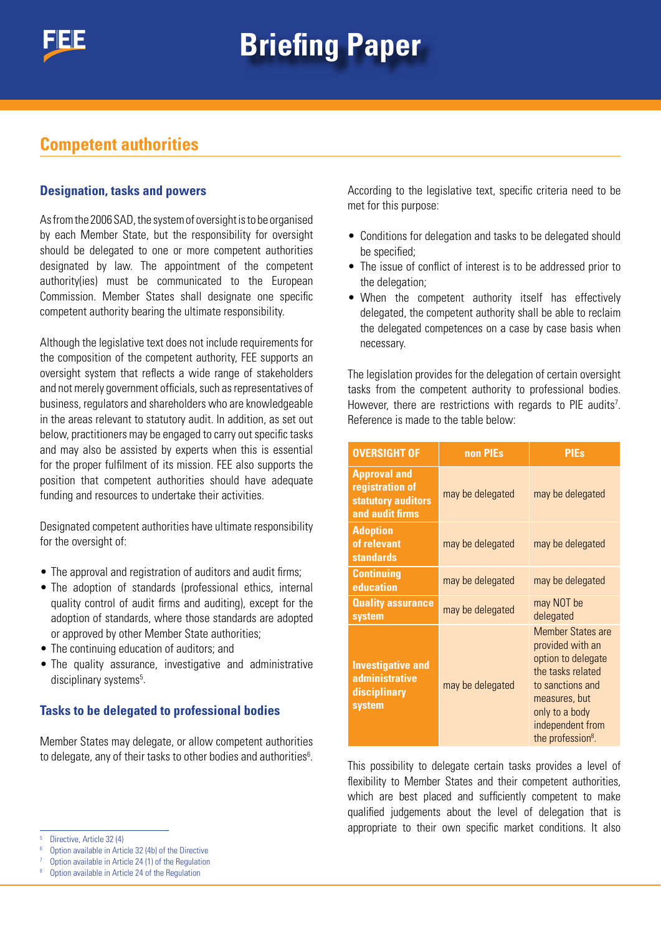## **Competent authorities**

#### **Designation, tasks and powers**

As from the 2006 SAD, the system of oversight is to be organised by each Member State, but the responsibility for oversight should be delegated to one or more competent authorities designated by law. The appointment of the competent authority(ies) must be communicated to the European Commission. Member States shall designate one specific competent authority bearing the ultimate responsibility.

Although the legislative text does not include requirements for the composition of the competent authority, FEE supports an oversight system that reflects a wide range of stakeholders and not merely government officials, such as representatives of business, regulators and shareholders who are knowledgeable in the areas relevant to statutory audit. In addition, as set out below, practitioners may be engaged to carry out specific tasks and may also be assisted by experts when this is essential for the proper fulfilment of its mission. FEE also supports the position that competent authorities should have adequate funding and resources to undertake their activities.

Designated competent authorities have ultimate responsibility for the oversight of:

- The approval and registration of auditors and audit firms;
- The adoption of standards (professional ethics, internal quality control of audit firms and auditing), except for the adoption of standards, where those standards are adopted or approved by other Member State authorities;
- The continuing education of auditors; and
- The quality assurance, investigative and administrative disciplinary systems<sup>5</sup>.

#### **Tasks to be delegated to professional bodies**

Member States may delegate, or allow competent authorities to delegate, any of their tasks to other bodies and authorities<sup>6</sup>.

Directive, Article 32 (4)

According to the legislative text, specific criteria need to be met for this purpose:

- Conditions for delegation and tasks to be delegated should be specified;
- The issue of conflict of interest is to be addressed prior to the delegation;
- When the competent authority itself has effectively delegated, the competent authority shall be able to reclaim the delegated competences on a case by case basis when necessary.

The legislation provides for the delegation of certain oversight tasks from the competent authority to professional bodies. However, there are restrictions with regards to PIE audits<sup>7</sup>. Reference is made to the table below:

| <b>OVERSIGHT OF</b>                                                             | non PIEs         | <b>PIEs</b>                                                                                                                                                                                         |
|---------------------------------------------------------------------------------|------------------|-----------------------------------------------------------------------------------------------------------------------------------------------------------------------------------------------------|
| <b>Approval and</b><br>registration of<br>statutory auditors<br>and audit firms | may be delegated | may be delegated                                                                                                                                                                                    |
| <b>Adoption</b><br>of relevant<br><b>standards</b>                              | may be delegated | may be delegated                                                                                                                                                                                    |
| <b>Continuing</b><br>education                                                  | may be delegated | may be delegated                                                                                                                                                                                    |
| <b>Quality assurance</b><br>system                                              | may be delegated | may NOT be<br>delegated                                                                                                                                                                             |
| <b>Investigative and</b><br><b>administrative</b><br>disciplinary<br>system     | may be delegated | <b>Member States are</b><br>provided with an<br>option to delegate<br>the tasks related<br>to sanctions and<br>measures, but<br>only to a body<br>independent from<br>the profession <sup>8</sup> . |

This possibility to delegate certain tasks provides a level of flexibility to Member States and their competent authorities, which are best placed and sufficiently competent to make qualified judgements about the level of delegation that is appropriate to their own specific market conditions. It also

<sup>6</sup> Option available in Article 32 (4b) of the Directive

Option available in Article 24 (1) of the Regulation

Option available in Article 24 of the Regulation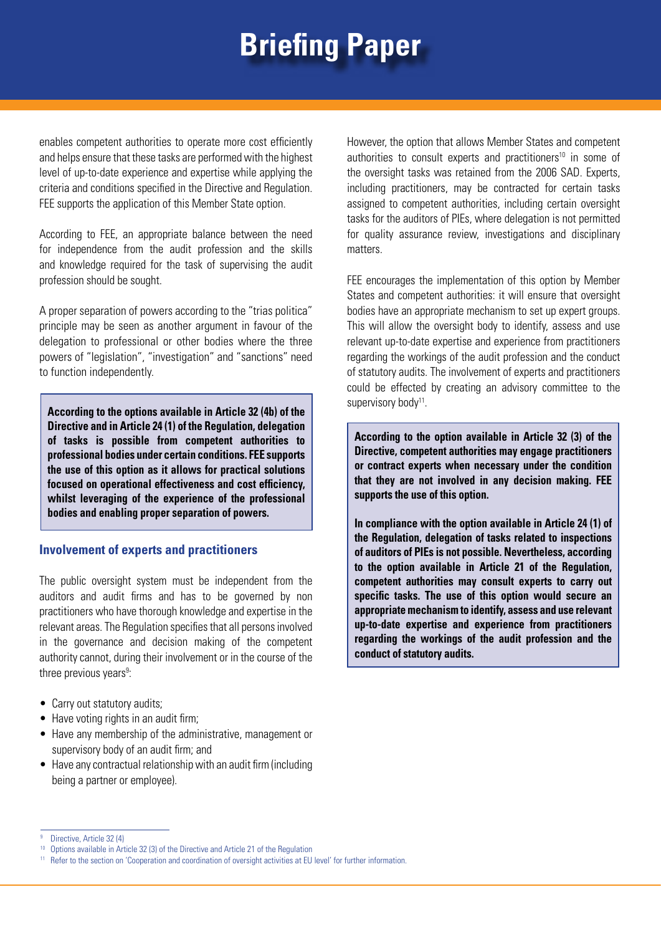enables competent authorities to operate more cost efficiently and helps ensure that these tasks are performed with the highest level of up-to-date experience and expertise while applying the criteria and conditions specified in the Directive and Regulation. FEE supports the application of this Member State option.

According to FEE, an appropriate balance between the need for independence from the audit profession and the skills and knowledge required for the task of supervising the audit profession should be sought.

A proper separation of powers according to the "trias politica" principle may be seen as another argument in favour of the delegation to professional or other bodies where the three powers of "legislation", "investigation" and "sanctions" need to function independently.

**According to the options available in Article 32 (4b) of the supervisory body<sup>11</sup>. Directive and in Article 24 (1) of the Regulation, delegation of tasks is possible from competent authorities to professional bodies under certain conditions. FEE supports the use of this option as it allows for practical solutions focused on operational effectiveness and cost efficiency, whilst leveraging of the experience of the professional bodies and enabling proper separation of powers.**

#### **Involvement of experts and practitioners**

The public oversight system must be independent from the auditors and audit firms and has to be governed by non practitioners who have thorough knowledge and expertise in the relevant areas. The Regulation specifies that all persons involved in the governance and decision making of the competent authority cannot, during their involvement or in the course of the three previous years<sup>9</sup>:

- Carry out statutory audits;
- Have voting rights in an audit firm:
- Have any membership of the administrative, management or supervisory body of an audit firm; and
- Have any contractual relationship with an audit firm (including being a partner or employee).

However, the option that allows Member States and competent authorities to consult experts and practitioners $10$  in some of the oversight tasks was retained from the 2006 SAD. Experts, including practitioners, may be contracted for certain tasks assigned to competent authorities, including certain oversight tasks for the auditors of PIEs, where delegation is not permitted for quality assurance review, investigations and disciplinary matters.

FEE encourages the implementation of this option by Member States and competent authorities: it will ensure that oversight bodies have an appropriate mechanism to set up expert groups. This will allow the oversight body to identify, assess and use relevant up-to-date expertise and experience from practitioners regarding the workings of the audit profession and the conduct of statutory audits. The involvement of experts and practitioners could be effected by creating an advisory committee to the

**According to the option available in Article 32 (3) of the Directive, competent authorities may engage practitioners or contract experts when necessary under the condition that they are not involved in any decision making. FEE supports the use of this option.**

**In compliance with the option available in Article 24 (1) of the Regulation, delegation of tasks related to inspections of auditors of PIEs is not possible. Nevertheless, according to the option available in Article 21 of the Regulation, competent authorities may consult experts to carry out specific tasks. The use of this option would secure an appropriate mechanism to identify, assess and use relevant up-to-date expertise and experience from practitioners regarding the workings of the audit profession and the conduct of statutory audits.**

<sup>&</sup>lt;sup>9</sup> Directive, Article 32 (4)

<sup>&</sup>lt;sup>10</sup> Options available in Article 32 (3) of the Directive and Article 21 of the Regulation

<sup>&</sup>lt;sup>11</sup> Refer to the section on 'Cooperation and coordination of oversight activities at EU level' for further information.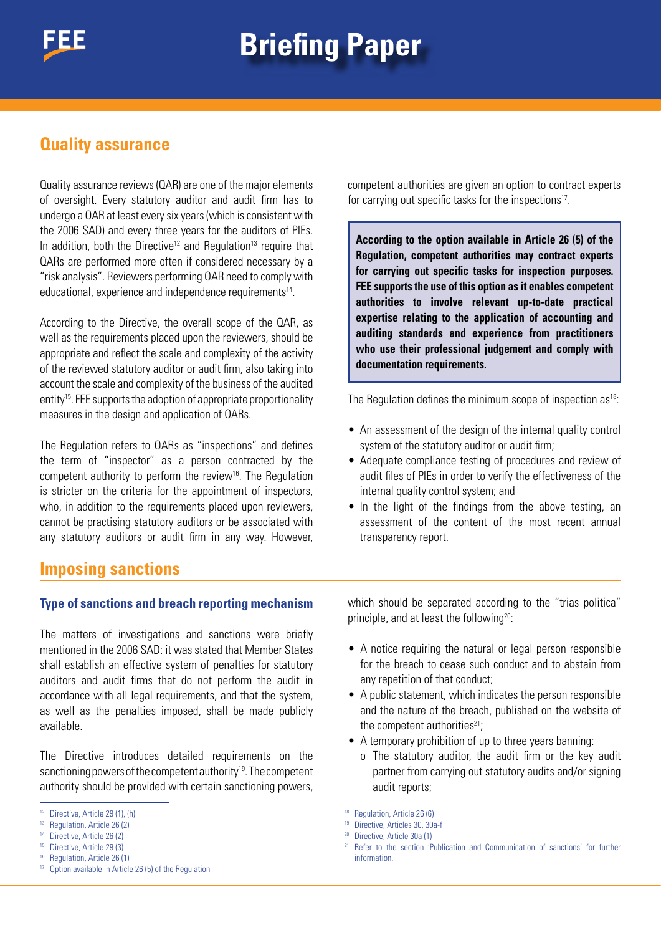### **Quality assurance**

Quality assurance reviews (QAR) are one of the major elements of oversight. Every statutory auditor and audit firm has to undergo a QAR at least every six years (which is consistent with the 2006 SAD) and every three years for the auditors of PIEs. In addition, both the Directive<sup>12</sup> and Regulation<sup>13</sup> require that QARs are performed more often if considered necessary by a "risk analysis". Reviewers performing QAR need to comply with educational, experience and independence requirements<sup>14</sup>.

According to the Directive, the overall scope of the QAR, as well as the requirements placed upon the reviewers, should be appropriate and reflect the scale and complexity of the activity of the reviewed statutory auditor or audit firm, also taking into account the scale and complexity of the business of the audited entity<sup>15</sup>. FEE supports the adoption of appropriate proportionality measures in the design and application of QARs.

The Regulation refers to QARs as "inspections" and defines the term of "inspector" as a person contracted by the competent authority to perform the review<sup>16</sup>. The Regulation is stricter on the criteria for the appointment of inspectors, who, in addition to the requirements placed upon reviewers, cannot be practising statutory auditors or be associated with any statutory auditors or audit firm in any way. However,

competent authorities are given an option to contract experts for carrying out specific tasks for the inspections<sup>17</sup>.

**According to the option available in Article 26 (5) of the Regulation, competent authorities may contract experts for carrying out specific tasks for inspection purposes. FEE supports the use of this option as it enables competent authorities to involve relevant up-to-date practical expertise relating to the application of accounting and auditing standards and experience from practitioners who use their professional judgement and comply with documentation requirements.**

The Regulation defines the minimum scope of inspection as<sup>18</sup>:

- An assessment of the design of the internal quality control system of the statutory auditor or audit firm;
- Adequate compliance testing of procedures and review of audit files of PIEs in order to verify the effectiveness of the internal quality control system; and
- In the light of the findings from the above testing, an assessment of the content of the most recent annual transparency report.

## **Imposing sanctions**

#### **Type of sanctions and breach reporting mechanism**

The matters of investigations and sanctions were briefly mentioned in the 2006 SAD: it was stated that Member States shall establish an effective system of penalties for statutory auditors and audit firms that do not perform the audit in accordance with all legal requirements, and that the system, as well as the penalties imposed, shall be made publicly available.

The Directive introduces detailed requirements on the sanctioning powers of the competent authority<sup>19</sup>. The competent authority should be provided with certain sanctioning powers,

which should be separated according to the "trias politica" principle, and at least the following<sup>20</sup>:

- A notice requiring the natural or legal person responsible for the breach to cease such conduct and to abstain from any repetition of that conduct;
- A public statement, which indicates the person responsible and the nature of the breach, published on the website of the competent authorities $21$ :
- A temporary prohibition of up to three years banning:
	- o The statutory auditor, the audit firm or the key audit partner from carrying out statutory audits and/or signing audit reports;

<sup>12</sup> Directive, Article 29 (1), (h)

<sup>&</sup>lt;sup>13</sup> Regulation, Article 26 (2)

Directive, Article 26 (2)

<sup>15</sup> Directive, Article 29 (3)

<sup>&</sup>lt;sup>16</sup> Regulation, Article 26 (1)

<sup>17</sup> Option available in Article 26 (5) of the Regulation

<sup>18</sup> Regulation, Article 26 (6)

<sup>19</sup> Directive, Articles 30, 30a-f

<sup>20</sup> Directive, Article 30a (1)

<sup>&</sup>lt;sup>21</sup> Refer to the section 'Publication and Communication of sanctions' for further information.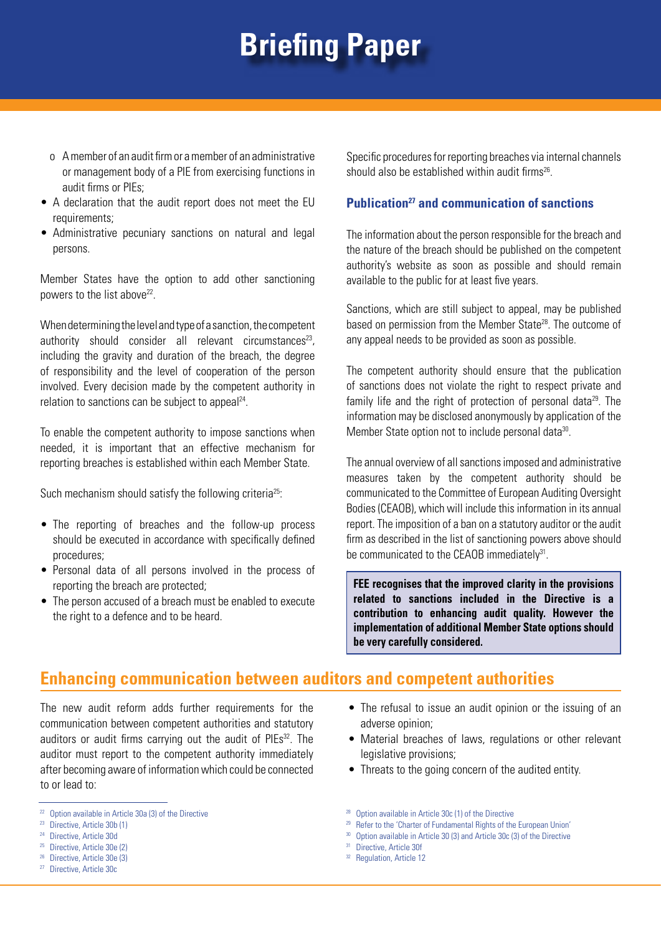- o A member of an audit firm or a member of an administrative or management body of a PIE from exercising functions in audit firms or PIEs;
- A declaration that the audit report does not meet the EU requirements;
- Administrative pecuniary sanctions on natural and legal persons.

Member States have the option to add other sanctioning powers to the list above<sup>22</sup>.

When determining the level and type of a sanction, the competent authority should consider all relevant circumstances<sup>23</sup>, including the gravity and duration of the breach, the degree of responsibility and the level of cooperation of the person involved. Every decision made by the competent authority in relation to sanctions can be subject to appeal<sup>24</sup>.

To enable the competent authority to impose sanctions when needed, it is important that an effective mechanism for reporting breaches is established within each Member State.

Such mechanism should satisfy the following criteria<sup>25</sup>:

- The reporting of breaches and the follow-up process should be executed in accordance with specifically defined procedures;
- Personal data of all persons involved in the process of reporting the breach are protected;
- The person accused of a breach must be enabled to execute the right to a defence and to be heard.

Specific procedures for reporting breaches via internal channels should also be established within audit firms<sup>26</sup>.

#### **Publication27 and communication of sanctions**

The information about the person responsible for the breach and the nature of the breach should be published on the competent authority's website as soon as possible and should remain available to the public for at least five years.

Sanctions, which are still subject to appeal, may be published based on permission from the Member State<sup>28</sup>. The outcome of any appeal needs to be provided as soon as possible.

The competent authority should ensure that the publication of sanctions does not violate the right to respect private and family life and the right of protection of personal data<sup>29</sup>. The information may be disclosed anonymously by application of the Member State option not to include personal data<sup>30</sup>.

The annual overview of all sanctions imposed and administrative measures taken by the competent authority should be communicated to the Committee of European Auditing Oversight Bodies (CEAOB), which will include this information in its annual report. The imposition of a ban on a statutory auditor or the audit firm as described in the list of sanctioning powers above should be communicated to the CEAOB immediately<sup>31</sup>.

**FEE recognises that the improved clarity in the provisions related to sanctions included in the Directive is a contribution to enhancing audit quality. However the implementation of additional Member State options should be very carefully considered.**

### **Enhancing communication between auditors and competent authorities**

The new audit reform adds further requirements for the communication between competent authorities and statutory auditors or audit firms carrying out the audit of PIEs<sup>32</sup>. The auditor must report to the competent authority immediately after becoming aware of information which could be connected to or lead to:

- Directive, Article 30d
- <sup>25</sup> Directive, Article 30e (2)
- <sup>26</sup> Directive, Article 30e (3)
- <sup>27</sup> Directive, Article 30c
- The refusal to issue an audit opinion or the issuing of an adverse opinion;
- Material breaches of laws, regulations or other relevant legislative provisions;
- Threats to the going concern of the audited entity.

<sup>&</sup>lt;sup>22</sup> Option available in Article 30a (3) of the Directive  $^{23}$  Directive, Article 30b (1)

<sup>28</sup> Option available in Article 30c (1) of the Directive

<sup>&</sup>lt;sup>29</sup> Refer to the 'Charter of Fundamental Rights of the European Union'

<sup>&</sup>lt;sup>30</sup> Option available in Article 30 (3) and Article 30c (3) of the Directive

<sup>&</sup>lt;sup>31</sup> Directive, Article 30f

<sup>&</sup>lt;sup>32</sup> Regulation, Article 12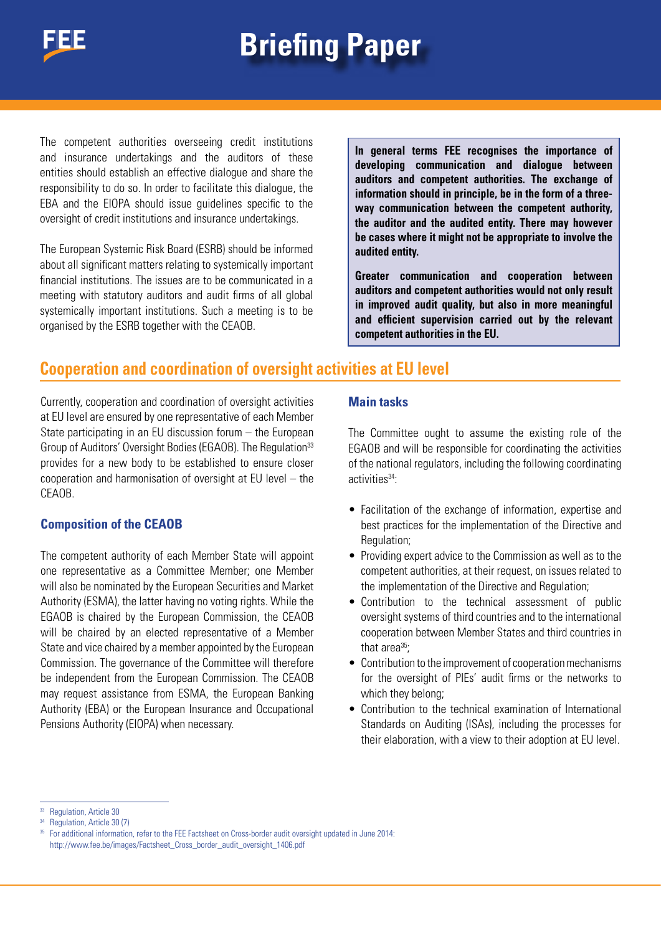

The competent authorities overseeing credit institutions and insurance undertakings and the auditors of these entities should establish an effective dialogue and share the responsibility to do so. In order to facilitate this dialogue, the EBA and the EIOPA should issue guidelines specific to the oversight of credit institutions and insurance undertakings.

The European Systemic Risk Board (ESRB) should be informed about all significant matters relating to systemically important financial institutions. The issues are to be communicated in a meeting with statutory auditors and audit firms of all global systemically important institutions. Such a meeting is to be organised by the ESRB together with the CEAOB.

**In general terms FEE recognises the importance of developing communication and dialogue between auditors and competent authorities. The exchange of information should in principle, be in the form of a threeway communication between the competent authority, the auditor and the audited entity. There may however be cases where it might not be appropriate to involve the audited entity.**

**Greater communication and cooperation between auditors and competent authorities would not only result in improved audit quality, but also in more meaningful and efficient supervision carried out by the relevant competent authorities in the EU.**

### **Cooperation and coordination of oversight activities at EU level**

Currently, cooperation and coordination of oversight activities at EU level are ensured by one representative of each Member State participating in an EU discussion forum – the European Group of Auditors' Oversight Bodies (EGAOB). The Regulation<sup>33</sup> provides for a new body to be established to ensure closer cooperation and harmonisation of oversight at EU level – the CEAOB.

#### **Composition of the CEAOB**

The competent authority of each Member State will appoint one representative as a Committee Member; one Member will also be nominated by the European Securities and Market Authority (ESMA), the latter having no voting rights. While the EGAOB is chaired by the European Commission, the CEAOB will be chaired by an elected representative of a Member State and vice chaired by a member appointed by the European Commission. The governance of the Committee will therefore be independent from the European Commission. The CEAOB may request assistance from ESMA, the European Banking Authority (EBA) or the European Insurance and Occupational Pensions Authority (EIOPA) when necessary.

#### **Main tasks**

The Committee ought to assume the existing role of the EGAOB and will be responsible for coordinating the activities of the national regulators, including the following coordinating activities<sup>34</sup>:

- Facilitation of the exchange of information, expertise and best practices for the implementation of the Directive and Regulation;
- Providing expert advice to the Commission as well as to the competent authorities, at their request, on issues related to the implementation of the Directive and Regulation;
- Contribution to the technical assessment of public oversight systems of third countries and to the international cooperation between Member States and third countries in that area<sup>35</sup>:
- Contribution to the improvement of cooperation mechanisms for the oversight of PIEs' audit firms or the networks to which they belong;
- Contribution to the technical examination of International Standards on Auditing (ISAs), including the processes for their elaboration, with a view to their adoption at EU level.

Regulation, Article 30

Regulation, Article 30 (7)

<sup>&</sup>lt;sup>35</sup> For additional information, refer to the FEE Factsheet on Cross-border audit oversight updated in June 2014: http://www.fee.be/images/Factsheet\_Cross\_border\_audit\_oversight\_1406.pdf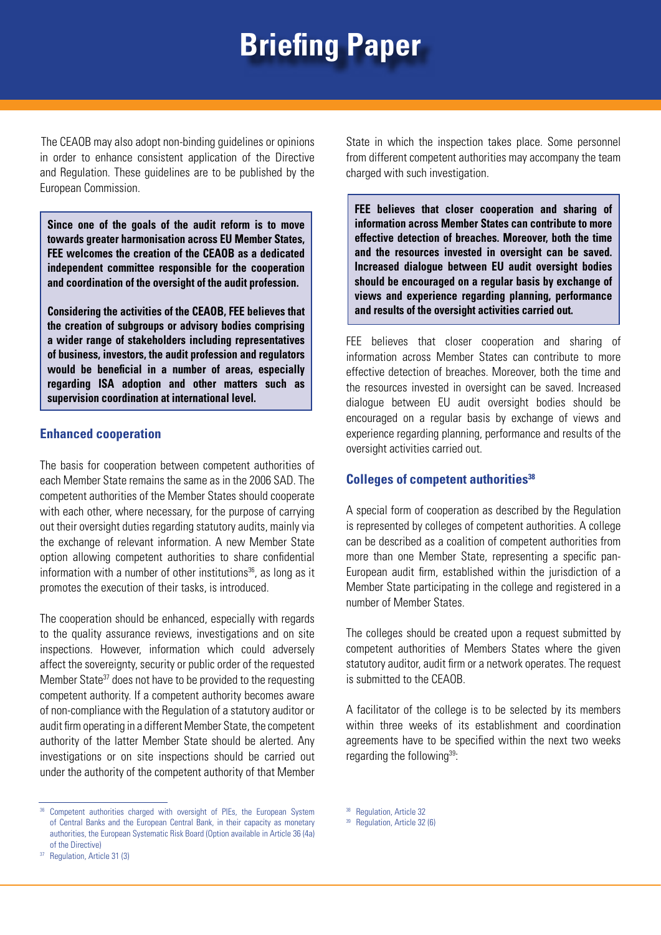The CEAOB may also adopt non-binding guidelines or opinions in order to enhance consistent application of the Directive and Regulation. These guidelines are to be published by the European Commission.

**Since one of the goals of the audit reform is to move towards greater harmonisation across EU Member States, FEE welcomes the creation of the CEAOB as a dedicated independent committee responsible for the cooperation and coordination of the oversight of the audit profession.**

**Considering the activities of the CEAOB, FEE believes that the creation of subgroups or advisory bodies comprising a wider range of stakeholders including representatives of business, investors, the audit profession and regulators would be beneficial in a number of areas, especially regarding ISA adoption and other matters such as supervision coordination at international level.**

#### **Enhanced cooperation**

The basis for cooperation between competent authorities of each Member State remains the same as in the 2006 SAD. The competent authorities of the Member States should cooperate with each other, where necessary, for the purpose of carrying out their oversight duties regarding statutory audits, mainly via the exchange of relevant information. A new Member State option allowing competent authorities to share confidential information with a number of other institutions<sup>36</sup>, as long as it promotes the execution of their tasks, is introduced.

The cooperation should be enhanced, especially with regards to the quality assurance reviews, investigations and on site inspections. However, information which could adversely affect the sovereignty, security or public order of the requested Member State<sup>37</sup> does not have to be provided to the requesting competent authority. If a competent authority becomes aware of non-compliance with the Regulation of a statutory auditor or audit firm operating in a different Member State, the competent authority of the latter Member State should be alerted. Any investigations or on site inspections should be carried out under the authority of the competent authority of that Member State in which the inspection takes place. Some personnel from different competent authorities may accompany the team charged with such investigation.

**FEE believes that closer cooperation and sharing of information across Member States can contribute to more effective detection of breaches. Moreover, both the time and the resources invested in oversight can be saved. Increased dialogue between EU audit oversight bodies should be encouraged on a regular basis by exchange of views and experience regarding planning, performance and results of the oversight activities carried out.**

FEE believes that closer cooperation and sharing of information across Member States can contribute to more effective detection of breaches. Moreover, both the time and the resources invested in oversight can be saved. Increased dialogue between EU audit oversight bodies should be encouraged on a regular basis by exchange of views and experience regarding planning, performance and results of the oversight activities carried out.

#### **Colleges of competent authorities38**

A special form of cooperation as described by the Regulation is represented by colleges of competent authorities. A college can be described as a coalition of competent authorities from more than one Member State, representing a specific pan-European audit firm, established within the jurisdiction of a Member State participating in the college and registered in a number of Member States.

The colleges should be created upon a request submitted by competent authorities of Members States where the given statutory auditor, audit firm or a network operates. The request is submitted to the CEAOB.

A facilitator of the college is to be selected by its members within three weeks of its establishment and coordination agreements have to be specified within the next two weeks regarding the following<sup>39</sup>:

<sup>&</sup>lt;sup>36</sup> Competent authorities charged with oversight of PIEs, the European System of Central Banks and the European Central Bank, in their capacity as monetary authorities, the European Systematic Risk Board (Option available in Article 36 (4a) of the Directive)

<sup>37</sup> Regulation, Article 31 (3)

<sup>38</sup> Regulation, Article 32

<sup>39</sup> Regulation, Article 32 (6)